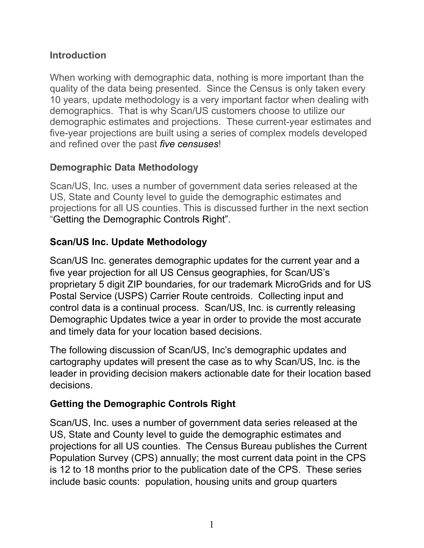### **Introduction**

When working with demographic data, nothing is more important than the quality of the data being presented. Since the Census is only taken every 10 years, update methodology is a very important factor when dealing with demographics. That is why Scan/US customers choose to utilize our demographic estimates and projections. These current-year estimates and five-year projections are built using a series of complex models developed and refined over the past *five censuses*!

# **Demographic Data Methodology**

Scan/US, Inc. uses a number of government data series released at the US, State and County level to guide the demographic estimates and projections for all US counties. This is discussed further in the next section "Getting the Demographic Controls Right".

# **Scan/US Inc. Update Methodology**

Scan/US Inc. generates demographic updates for the current year and a five year projection for all US Census geographies, for Scan/US's proprietary 5 digit ZIP boundaries, for our trademark MicroGrids and for US Postal Service (USPS) Carrier Route centroids. Collecting input and control data is a continual process. Scan/US, Inc. is currently releasing Demographic Updates twice a year in order to provide the most accurate and timely data for your location based decisions.

The following discussion of Scan/US, Inc's demographic updates and cartography updates will present the case as to why Scan/US, Inc. is the leader in providing decision makers actionable date for their location based decisions.

# **Getting the Demographic Controls Right**

Scan/US, Inc. uses a number of government data series released at the US, State and County level to guide the demographic estimates and projections for all US counties. The Census Bureau publishes the Current Population Survey (CPS) annually; the most current data point in the CPS is 12 to 18 months prior to the publication date of the CPS. These series include basic counts: population, housing units and group quarters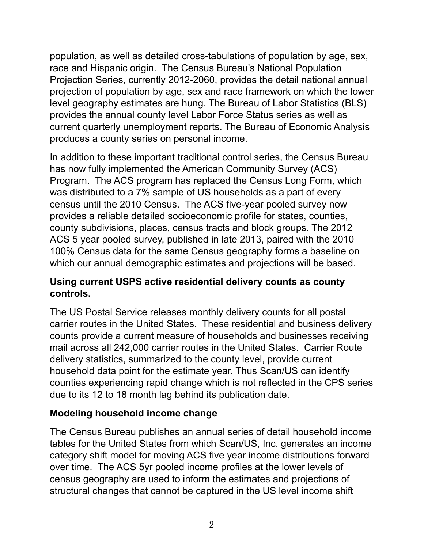population, as well as detailed cross-tabulations of population by age, sex, race and Hispanic origin. The Census Bureau's National Population Projection Series, currently 2012-2060, provides the detail national annual projection of population by age, sex and race framework on which the lower level geography estimates are hung. The Bureau of Labor Statistics (BLS) provides the annual county level Labor Force Status series as well as current quarterly unemployment reports. The Bureau of Economic Analysis produces a county series on personal income.

In addition to these important traditional control series, the Census Bureau has now fully implemented the American Community Survey (ACS) Program. The ACS program has replaced the Census Long Form, which was distributed to a 7% sample of US households as a part of every census until the 2010 Census. The ACS five-year pooled survey now provides a reliable detailed socioeconomic profile for states, counties, county subdivisions, places, census tracts and block groups. The 2012 ACS 5 year pooled survey, published in late 2013, paired with the 2010 100% Census data for the same Census geography forms a baseline on which our annual demographic estimates and projections will be based.

### **Using current USPS active residential delivery counts as county controls.**

The US Postal Service releases monthly delivery counts for all postal carrier routes in the United States. These residential and business delivery counts provide a current measure of households and businesses receiving mail across all 242,000 carrier routes in the United States. Carrier Route delivery statistics, summarized to the county level, provide current household data point for the estimate year. Thus Scan/US can identify counties experiencing rapid change which is not reflected in the CPS series due to its 12 to 18 month lag behind its publication date.

### **Modeling household income change**

The Census Bureau publishes an annual series of detail household income tables for the United States from which Scan/US, Inc. generates an income category shift model for moving ACS five year income distributions forward over time. The ACS 5yr pooled income profiles at the lower levels of census geography are used to inform the estimates and projections of structural changes that cannot be captured in the US level income shift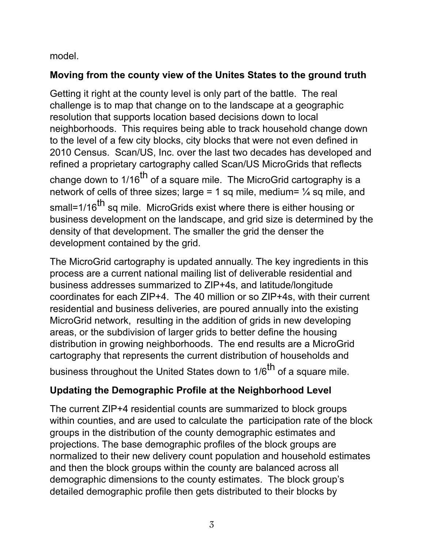### model.

# **Moving from the county view of the Unites States to the ground truth**

Getting it right at the county level is only part of the battle. The real challenge is to map that change on to the landscape at a geographic resolution that supports location based decisions down to local neighborhoods. This requires being able to track household change down to the level of a few city blocks, city blocks that were not even defined in 2010 Census. Scan/US, Inc. over the last two decades has developed and refined a proprietary cartography called Scan/US MicroGrids that reflects change down to  $1/16^{th}$  of a square mile. The MicroGrid cartography is a network of cells of three sizes; large = 1 sq mile, medium=  $\frac{1}{4}$  sq mile, and small=1/16<sup>th</sup> sq mile. MicroGrids exist where there is either housing or business development on the landscape, and grid size is determined by the density of that development. The smaller the grid the denser the development contained by the grid.

The MicroGrid cartography is updated annually. The key ingredients in this process are a current national mailing list of deliverable residential and business addresses summarized to ZIP+4s, and latitude/longitude coordinates for each ZIP+4. The 40 million or so ZIP+4s, with their current residential and business deliveries, are poured annually into the existing MicroGrid network, resulting in the addition of grids in new developing areas, or the subdivision of larger grids to better define the housing distribution in growing neighborhoods. The end results are a MicroGrid cartography that represents the current distribution of households and business throughout the United States down to 1/6<sup>th</sup> of a square mile.

# **Updating the Demographic Profile at the Neighborhood Level**

The current ZIP+4 residential counts are summarized to block groups within counties, and are used to calculate the participation rate of the block groups in the distribution of the county demographic estimates and projections. The base demographic profiles of the block groups are normalized to their new delivery count population and household estimates and then the block groups within the county are balanced across all demographic dimensions to the county estimates. The block group's detailed demographic profile then gets distributed to their blocks by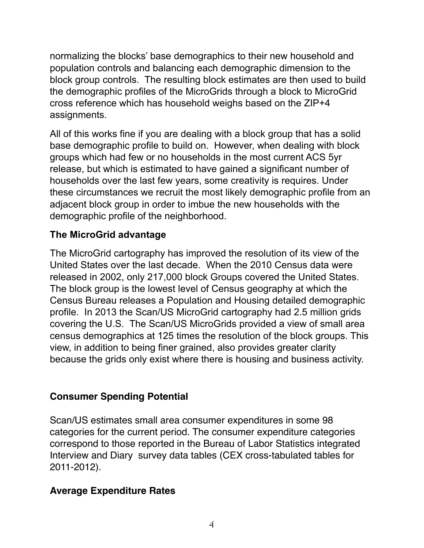normalizing the blocks' base demographics to their new household and population controls and balancing each demographic dimension to the block group controls. The resulting block estimates are then used to build the demographic profiles of the MicroGrids through a block to MicroGrid cross reference which has household weighs based on the ZIP+4 assignments.

All of this works fine if you are dealing with a block group that has a solid base demographic profile to build on. However, when dealing with block groups which had few or no households in the most current ACS 5yr release, but which is estimated to have gained a significant number of households over the last few years, some creativity is requires. Under these circumstances we recruit the most likely demographic profile from an adjacent block group in order to imbue the new households with the demographic profile of the neighborhood.

### **The MicroGrid advantage**

The MicroGrid cartography has improved the resolution of its view of the United States over the last decade. When the 2010 Census data were released in 2002, only 217,000 block Groups covered the United States. The block group is the lowest level of Census geography at which the Census Bureau releases a Population and Housing detailed demographic profile. In 2013 the Scan/US MicroGrid cartography had 2.5 million grids covering the U.S. The Scan/US MicroGrids provided a view of small area census demographics at 125 times the resolution of the block groups. This view, in addition to being finer grained, also provides greater clarity because the grids only exist where there is housing and business activity.

### **Consumer Spending Potential**

Scan/US estimates small area consumer expenditures in some 98 categories for the current period. The consumer expenditure categories correspond to those reported in the Bureau of Labor Statistics integrated Interview and Diary survey data tables (CEX cross-tabulated tables for 2011-2012).

### **Average Expenditure Rates**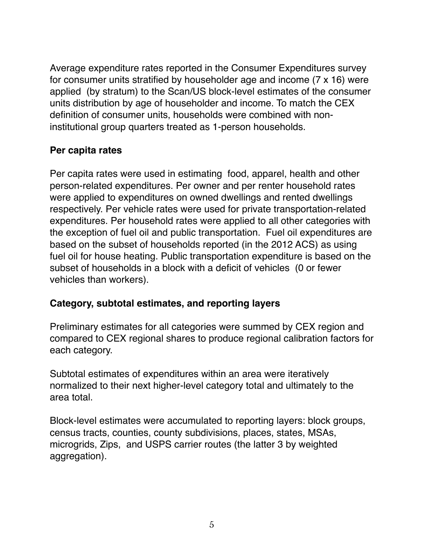Average expenditure rates reported in the Consumer Expenditures survey for consumer units stratified by householder age and income (7 x 16) were applied (by stratum) to the Scan/US block-level estimates of the consumer units distribution by age of householder and income. To match the CEX definition of consumer units, households were combined with noninstitutional group quarters treated as 1-person households.

#### **Per capita rates**

Per capita rates were used in estimating food, apparel, health and other person-related expenditures. Per owner and per renter household rates were applied to expenditures on owned dwellings and rented dwellings respectively. Per vehicle rates were used for private transportation-related expenditures. Per household rates were applied to all other categories with the exception of fuel oil and public transportation. Fuel oil expenditures are based on the subset of households reported (in the 2012 ACS) as using fuel oil for house heating. Public transportation expenditure is based on the subset of households in a block with a deficit of vehicles (0 or fewer vehicles than workers).

### **Category, subtotal estimates, and reporting layers**

Preliminary estimates for all categories were summed by CEX region and compared to CEX regional shares to produce regional calibration factors for each category.

Subtotal estimates of expenditures within an area were iteratively normalized to their next higher-level category total and ultimately to the area total.

Block-level estimates were accumulated to reporting layers: block groups, census tracts, counties, county subdivisions, places, states, MSAs, microgrids, Zips, and USPS carrier routes (the latter 3 by weighted aggregation).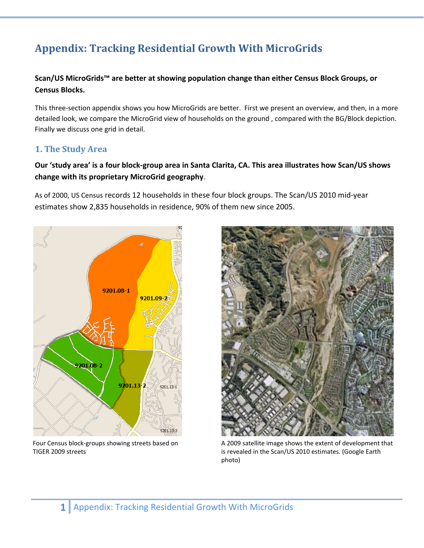# **Appendix: Tracking Residential Growth With MicroGrids**

#### **Scan/US MicroGrids™ are better at showing population change than either Census Block Groups, or Census Blocks.**

This three‐section appendix shows you how MicroGrids are better. First we present an overview, and then, in a more detailed look, we compare the MicroGrid view of households on the ground , compared with the BG/Block depiction. Finally we discuss one grid in detail.

#### **1. The Study Area**

Our 'study area' is a four block-group area in Santa Clarita, CA. This area illustrates how Scan/US shows **change with its proprietary MicroGrid geography**.

As of 2000, US Census records 12 households in these four block groups. The Scan/US 2010 mid‐year estimates show 2,835 households in residence, 90% of them new since 2005.



Four Census block‐groups showing streets based on TIGER 2009 streets



A 2009 satellite image shows the extent of development that is revealed in the Scan/US 2010 estimates. (Google Earth photo)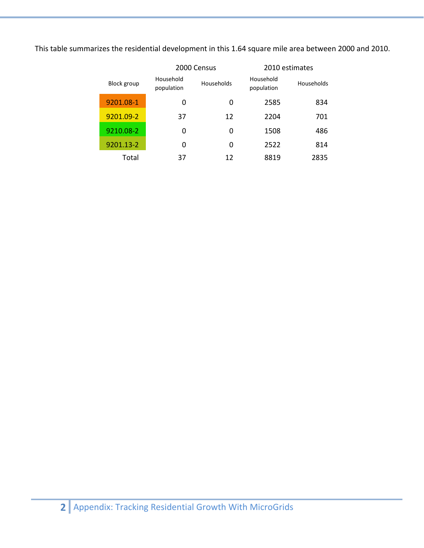This table summarizes the residential development in this 1.64 square mile area between 2000 and 2010.

|             |                         | 2000 Census |                         | 2010 estimates    |
|-------------|-------------------------|-------------|-------------------------|-------------------|
| Block group | Household<br>population | Households  | Household<br>population | <b>Households</b> |
| 9201.08-1   | 0                       | 0           | 2585                    | 834               |
| 9201.09-2   | 37                      | 12          | 2204                    | 701               |
| 9210.08-2   | 0                       | 0           | 1508                    | 486               |
| 9201.13-2   | 0                       | 0           | 2522                    | 814               |
| Total       | 37                      | 12          | 8819                    | 2835              |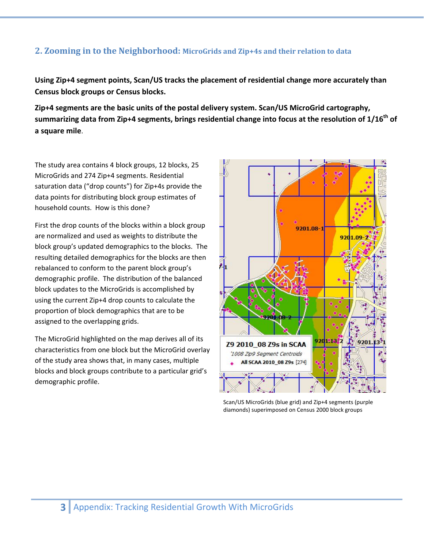#### **2. Zooming in to the Neighborhood: MicroGrids and Zip+4s and their relation to data**

**Using Zip+4 segment points, Scan/US tracks the placement of residential change more accurately than Census block groups or Census blocks.** 

**Zip+4 segments are the basic units of the postal delivery system. Scan/US MicroGrid cartography, summarizing data from Zip+4 segments, brings residential change into focus at the resolution of 1/16th of a square mile**.

The study area contains 4 block groups, 12 blocks, 25 MicroGrids and 274 Zip+4 segments. Residential saturation data ("drop counts") for Zip+4s provide the data points for distributing block group estimates of household counts. How is this done?

First the drop counts of the blocks within a block group are normalized and used as weights to distribute the block group's updated demographics to the blocks. The resulting detailed demographics for the blocks are then rebalanced to conform to the parent block group's demographic profile. The distribution of the balanced block updates to the MicroGrids is accomplished by using the current Zip+4 drop counts to calculate the proportion of block demographics that are to be assigned to the overlapping grids.

The MicroGrid highlighted on the map derives all of its characteristics from one block but the MicroGrid overlay of the study area shows that, in many cases, multiple blocks and block groups contribute to a particular grid's demographic profile.



Scan/US MicroGrids (blue grid) and Zip+4 segments (purple diamonds) superimposed on Census 2000 block groups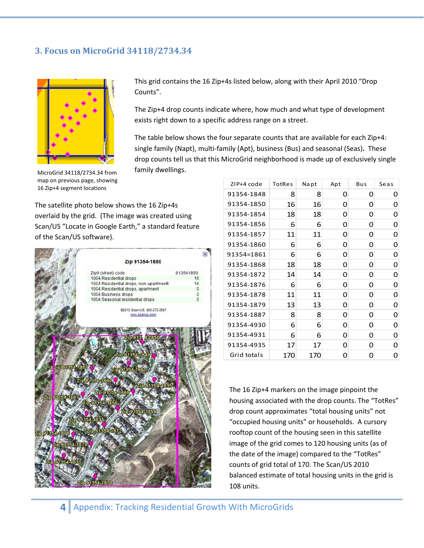#### **3. Focus on MicroGrid 34118/2734.34**



MicroGrid 34118/2734.34 from map on previous page, showing 16 Zip+4 segment locations

This grid contains the 16 Zip+4s listed below, along with their April 2010 "Drop Counts".

The Zip+4 drop counts indicate where, how much and what type of development exists right down to a specific address range on a street.

The table below shows the four separate counts that are available for each Zip+4: single family (Napt), multi‐family (Apt), business (Bus) and seasonal (Seas)**.** These drop counts tell us that this MicroGrid neighborhood is made up of exclusively single family dwellings.

The satellite photo below shows the 16 Zip+4s overlaid by the grid. (The image was created using Scan/US "Locate in Google Earth," a standard feature of the Scan/US software).

|                 |                                        | ×            |
|-----------------|----------------------------------------|--------------|
|                 | Zip 91354-1850                         |              |
|                 | Zip9 (street) code                     | 913541850    |
|                 | 1004 Residential drops                 | 16           |
|                 | 1004 Residential drops, non-apartmentt | 16           |
|                 | 1004 Residential drops, apartment      | 0            |
|                 | 1004 Business drops                    | 0            |
|                 | 1004 Seasonal residential drops        | $\mathbf{0}$ |
|                 | @2010 Scan/US, 800-272-2687            |              |
|                 | www.scanus.com                         |              |
|                 |                                        |              |
|                 |                                        |              |
|                 | Zip 913: 4-1850                        |              |
|                 |                                        |              |
|                 | Zip 91354-1848                         |              |
| Zip 01854-1857  |                                        |              |
|                 | Zip 91354-1861                         |              |
|                 | Zip 91354-1860                         |              |
|                 | Zip 91354-4935                         |              |
| Zip 91354-1887  | Zip 91354-1868                         |              |
|                 | Zip 91354-1856                         |              |
|                 | Zip 91354-1854                         |              |
|                 | Zip 91354-4931                         |              |
|                 |                                        |              |
| ZID 91854-1876  | ZIp 91854-1872                         |              |
|                 |                                        |              |
| Zip 91354-1879  |                                        |              |
|                 |                                        |              |
| Zip 91354-4930  |                                        |              |
| <b>ADONE OR</b> |                                        |              |
|                 |                                        |              |
|                 | Zip 91354-1878                         | age III s    |

| ZIP+4 code  | TotRes | Napt | Apt | Bus | Seas |
|-------------|--------|------|-----|-----|------|
| 91354-1848  | 8      | 8    | O   | O   | O    |
| 91354-1850  | 16     | 16   | 0   | 0   | 0    |
| 91354-1854  | 18     | 18   | 0   | 0   | 0    |
| 91354-1856  | 6      | 6    | 0   | 0   | 0    |
| 91354-1857  | 11     | 11   | 0   | 0   | 0    |
| 91354-1860  | 6      | 6    | 0   | 0   | 0    |
| 91354=1861  | 6      | 6    | 0   | 0   | 0    |
| 91354-1868  | 18     | 18   | 0   | 0   | 0    |
| 91354-1872  | 14     | 14   | 0   | 0   | 0    |
| 91354-1876  | 6      | 6    | 0   | 0   | 0    |
| 91354-1878  | 11     | 11   | 0   | 0   | 0    |
| 91354-1879  | 13     | 13   | 0   | 0   | 0    |
| 91354-1887  | 8      | 8    | 0   | 0   | 0    |
| 91354-4930  | 6      | 6    | 0   | 0   | 0    |
| 91354-4931  | 6      | 6    | 0   | 0   | 0    |
| 91354-4935  | 17     | 17   | O   | 0   | 0    |
| Grid totals | 170    | 170  | 0   | 0   | 0    |

The 16 Zip+4 markers on the image pinpoint the housing associated with the drop counts. The "TotRes" drop count approximates "total housing units" not "occupied housing units" or households. A cursory rooftop count of the housing seen in this satellite image of the grid comes to 120 housing units (as of the date of the image) compared to the "TotRes" counts of grid total of 170. The Scan/US 2010 balanced estimate of total housing units in the grid is 108 units.